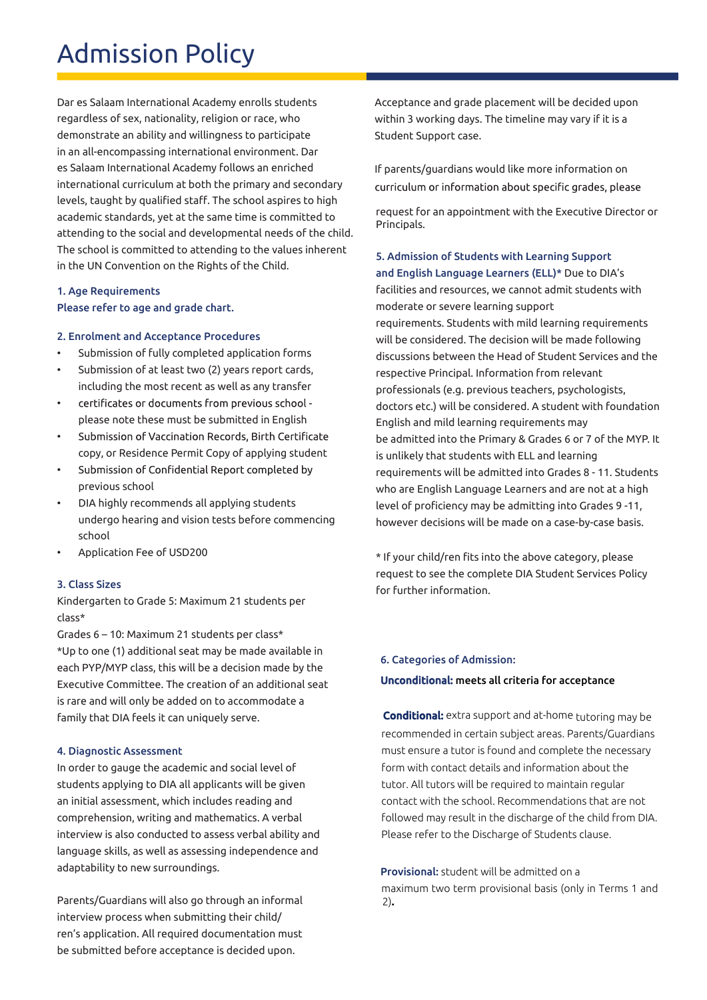## Admission Policy

Dar es Salaam International Academy enrolls students regardless of sex, nationality, religion or race, who demonstrate an ability and willingness to participate in an all-encompassing international environment. Dar es Salaam International Academy follows an enriched international curriculum at both the primary and secondary levels, taught by qualified staff. The school aspires to high academic standards, yet at the same time is committed to attending to the social and developmental needs of the child. The school is committed to attending to the values inherent in the UN Convention on the Rights of the Child.

## 1. Age Requirements Please refer to age and grade chart.

#### 2. Enrolment and Acceptance Procedures

- Submission of fully completed application forms
- Submission of at least two (2) years report cards, including the most recent as well as any transfer
- certificates or documents from previous school please note these must be submitted in English
- Submission of Vaccination Records, Birth Certificate • copy, or Residence Permit Copy of applying student
- Submission of Confidential Report completed by previous school
- DIA highly recommends all applying students undergo hearing and vision tests before commencing school
- Application Fee of USD200

#### 3. Class Sizes

Kindergarten to Grade 5: Maximum 21 students per class\*

Grades  $6 - 10$ : Maximum 21 students per class\* \*Up to one (1) additional seat may be made available in each PYP/MYP class, this will be a decision made by the Executive Committee. The creation of an additional seat is rare and will only be added on to accommodate a family that DIA feels it can uniquely serve.

#### 4. Diagnostic Assessment

In order to gauge the academic and social level of students applying to DIA all applicants will be given an initial assessment, which includes reading and comprehension, writing and mathematics. A verbal interview is also conducted to assess verbal ability and language skills, as well as assessing independence and adaptability to new surroundings.

Parents/Guardians will also go through an informal interview process when submitting their child/ ren's application. All required documentation must be submitted before acceptance is decided upon.

Acceptance and grade placement will be decided upon within 3 working days. The timeline may vary if it is a Student Support case.

If parents/guardians would like more information on curriculum or information about specific grades, please

request for an appointment with the Executive Director or Principals.

## 5. Admission of Students with Learning Support and English Language Learners (ELL)\* Due to DIA's facilities and resources, we cannot admit students with moderate or severe learning support

requirements. Students with mild learning requirements will be considered. The decision will be made following discussions between the Head of Student Services and the respective Principal. Information from relevant professionals (e.g. previous teachers, psychologists, doctors etc.) will be considered. A student with foundation English and mild learning requirements may be admitted into the Primary & Grades 6 or 7 of the MYP. It is unlikely that students with ELL and learning requirements will be admitted into Grades 8 - 11. Students who are English Language Learners and are not at a high level of proficiency may be admitting into Grades 9-11, however decisions will be made on a case-by-case basis.

\* If your child/ren fits into the above category, please request to see the complete DIA Student Services Policy for further information.

#### 6. Categories of Admission:

#### Unconditional: meets all criteria for acceptance

Conditional: extra support and at-home tutoring may be recommended in certain subject areas. Parents/Guardians must ensure a tutor is found and complete the necessary form with contact details and information about the tutor. All tutors will be required to maintain regular contact with the school. Recommendations that are not followed may result in the discharge of the child from DIA. Please refer to the Discharge of Students clause.

Provisional: student will be admitted on a maximum two term provisional basis (only in Terms 1 and 2)**.**